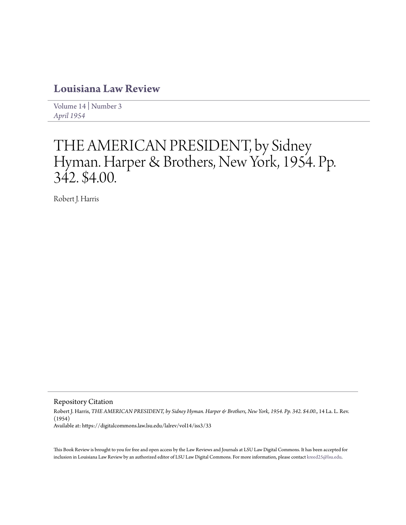## **[Louisiana Law Review](https://digitalcommons.law.lsu.edu/lalrev)**

[Volume 14](https://digitalcommons.law.lsu.edu/lalrev/vol14) | [Number 3](https://digitalcommons.law.lsu.edu/lalrev/vol14/iss3) *[April 1954](https://digitalcommons.law.lsu.edu/lalrev/vol14/iss3)*

## THE AMERICAN PRESIDENT, by Sidney Hyman. Harper & Brothers, New York, 1954. Pp. 342. \$4.00.

Robert J. Harris

Repository Citation

Robert J. Harris, *THE AMERICAN PRESIDENT, by Sidney Hyman. Harper & Brothers, New York, 1954. Pp. 342. \$4.00.*, 14 La. L. Rev. (1954) Available at: https://digitalcommons.law.lsu.edu/lalrev/vol14/iss3/33

This Book Review is brought to you for free and open access by the Law Reviews and Journals at LSU Law Digital Commons. It has been accepted for inclusion in Louisiana Law Review by an authorized editor of LSU Law Digital Commons. For more information, please contact [kreed25@lsu.edu](mailto:kreed25@lsu.edu).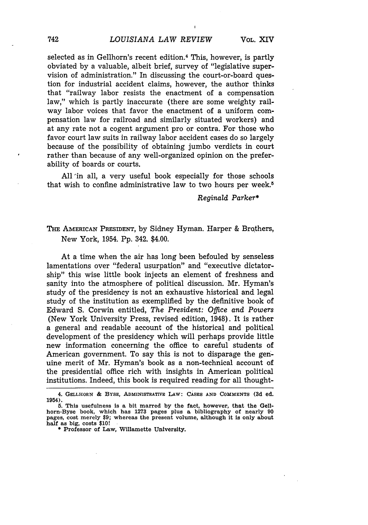selected as in Gellhorn's recent edition.<sup>4</sup> This, however, is partly obviated by a valuable, albeit brief, survey of "legislative supervision of administration." In discussing the court-or-board question for industrial accident claims, however, the author thinks that "railway labor resists the enactment of a compensation law," which is partly inaccurate (there are some weighty railway labor voices that favor the enactment of a uniform compensation law for railroad and similarly situated workers) and at any rate not a cogent argument pro or contra. For those who favor court law suits in railway labor accident cases do so largely because of the possibility of obtaining jumbo verdicts in court rather than because of any well-organized opinion on the preferability of boards or courts.

All 'in all, a very useful book especially for those schools that wish to confine administrative law to two hours per week.<sup>5</sup>

## *Reginald Parker\**

## THE AMERICAN PRESIDENT, by Sidney Hyman. Harper & Brqthers, New York, 1954. Pp. 342. \$4.00.

At a time when the air has long been befouled by senseless lamentations over "federal usurpation" and "executive dictatorship" this wise little book injects an element of freshness and sanity into the atmosphere of political discussion. Mr. Hyman's study of the presidency is not an exhaustive historical and legal study of the institution as exemplified by the definitive book of Edward S. Corwin entitled, *The President: Office and Powers* (New York University Press, revised edition, 1948). It is rather a general and readable account of the historical and political development of the presidency which will perhaps provide little new information concerning the office to careful students of American government. To say this is not to disparage the genuine merit of Mr. Hyman's book as a non-technical account of the presidential office rich with insights in American political institutions. Indeed, this book is required reading for all thought-

**<sup>4.</sup>** GELLHORN **& BYSE, ADMINISTRATIVE** LAW: **CASES AND COMMENTS (3d ed. 1954).**

**<sup>5.</sup> This usefulness is a bit marred by the fact, however, that the Gellhorn-Byse book, which has 1273 pages plus a bibliography of nearly 90 pages, cost merely \$9; whereas the present volume, although it is only about half as big, costs \$10!**

**<sup>\$</sup>** Professor of Law, Willamette University.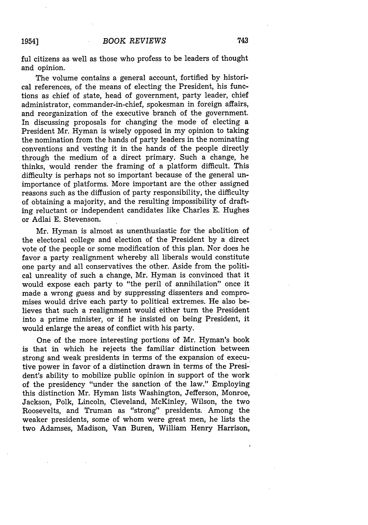The volume contains a general account, fortified by historical references, of the means of electing the President, his functions as chief of state, head of government, party leader, chief administrator, commander-in-chief, spokesman in foreign affairs, and reorganization of the executive branch of the government. In discussing proposals for changing the mode of electing a President Mr. Hyman is wisely opposed in my opinion to taking the nomination from the hands of party leaders in the nominating conventions and vesting it in the hands of the people directly through the medium of a direct primary. Such a change, he thinks, would render the framing of a platform difficult. This difficulty is perhaps not so important because of the general unimportance of platforms. More important are the other assigned reasons such as the diffusion of party responsibility, the difficulty of obtaining a majority, and the resulting impossibility of drafting reluctant or independent candidates like Charles E. Hughes or Adlai E. Stevenson.

Mr. Hyman is almost as unenthusiastic for the abolition of the electoral college and election of the President by a direct vote of the people or some modification of this plan. Nor does he favor a party realignment whereby all liberals would constitute one party and all conservatives the other. Aside from the political unreality of such a change, Mr. Hyman is convinced that it would expose each party to "the peril of annihilation" once it made a wrong guess and by suppressing dissenters and compromises would drive each party to political extremes. He also believes that such a realignment would either turn the President into a prime minister, or if he insisted on being President, it would enlarge the areas of conflict with his party.

One of the more interesting portions of Mr. Hyman's book is that in which he rejects the familiar distinction between strong and weak presidents in terms of the expansion of executive power in favor of a distinction drawn in terms of the President's ability to mobilize public opinion in support of the work of the presidency "under the sanction of the law." Employing this distinction Mr. Hyman lists Washington, Jefferson, Monroe, Jackson, Polk, Lincoln, Cleveland, McKinley, Wilson, the two Roosevelts, and Truman as "strong" presidents. Among the weaker presidents, some of whom were great men, he lists the two Adamses, Madison, Van Buren, William Henry Harrison,